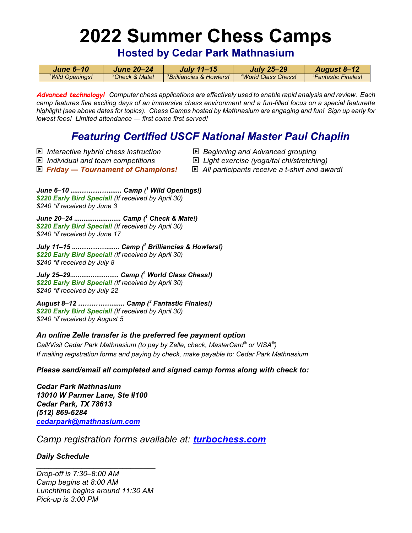# **2022 Summer Chess Camps**

**Hosted by Cedar Park Mathnasium**

| June 6–10                   | <b>June 20–24</b>          | July 11–15                           | July 25–29                      | <b>August 8–12</b>                             |
|-----------------------------|----------------------------|--------------------------------------|---------------------------------|------------------------------------------------|
| <sup>1</sup> Wild Openings! | <sup>2</sup> Check & Mate! | <sup>3</sup> Brilliancies & Howlers! | <sup>4</sup> World Class Chess! | <i><b><i><u>Eantastic Finales!</u></i></b></i> |

*Advanced technology! Computer chess applications are effectively used to enable rapid analysis and review. Each camp features five exciting days of an immersive chess environment and a fun-filled focus on a special featurette highlight (see above dates for topics). Chess Camps hosted by Mathnasium are engaging and fun! Sign up early for lowest fees! Limited attendance - first come first served!* 

# *Featuring Certified USCF National Master Paul Chaplin*

- *| Interactive hybrid chess instruction | Beginning and Advanced grouping*
	-
- *| Individual and team competitions | Light exercise (yoga/tai chi/stretching)*
- 
- 
- *| Friday — Tournament of Champions! | All participants receive a t-shirt and award!*

*June 6–10 ......…………....... Camp (<sup>1</sup> Wild Openings!) \$220 Early Bird Special! (If received by April 30) \$240 \*if received by June 3*

*June 20–24 ......................... Camp (<sup>1</sup> Check & Mate!) \$220 Early Bird Special! (If received by April 30) \$240 \*if received by June 17*

*July 11–15 ....…………....... Camp (<sup>2</sup> Brilliancies & Howlers!) \$220 Early Bird Special! (If received by April 30) \$240 \*if received by July 8*

*July 25–29.......................... Camp (<sup>2</sup> World Class Chess!) \$220 Early Bird Special! (If received by April 30) \$240 \*if received by July 22*

*August 8–12 ……………....... Camp (<sup>3</sup> Fantastic Finales!) \$220 Early Bird Special! (If received by April 30) \$240 \*if received by August 5*

## *An online Zelle transfer is the preferred fee payment option*

*Call/Visit Cedar Park Mathnasium (to pay by Zelle, check, MasterCard® or VISA® ) If mailing registration forms and paying by check, make payable to: Cedar Park Mathnasium*

## *Please send/email all completed and signed camp forms along with check to:*

*Cedar Park Mathnasium 13010 W Parmer Lane, Ste #100 Cedar Park, TX 78613 (512) 869-6284 [cedarpark@mathnasium.com](mailto:cedarpark@mathnasium.com)*

*Camp registration forms available at: [turbochess.com](http://www.turbochess.com)*

## *Daily Schedule*

*\_\_\_\_\_\_\_\_\_\_\_\_\_\_\_\_\_\_\_\_\_\_\_\_\_\_\_\_\_ Drop-off is 7:30–8:00 AM Camp begins at 8:00 AM Lunchtime begins around 11:30 AM Pick-up is 3:00 PM*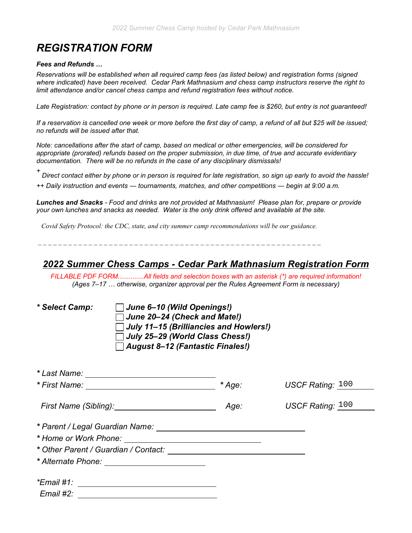# *REGISTRATION FORM*

#### *Fees and Refunds …*

*Reservations will be established when all required camp fees (as listed below) and registration forms (signed where indicated) have been received. Cedar Park Mathnasium and chess camp instructors reserve the right to limit attendance and/or cancel chess camps and refund registration fees without notice.*

*Late Registration: contact by phone or in person is required. Late camp fee is \$260, but entry is not guaranteed!*

*If a reservation is cancelled one week or more before the first day of camp, a refund of all but \$25 will be issued; no refunds will be issued after that.* 

*Note: cancellations after the start of camp, based on medical or other emergencies, will be considered for appropriate (prorated) refunds based on the proper submission, in due time, of true and accurate evidentiary documentation. There will be no refunds in the case of any disciplinary dismissals!*

*+ Direct contact either by phone or in person is required for late registration, so sign up early to avoid the hassle!*

*++ Daily instruction and events ¯ tournaments, matches, and other competitions ¯ begin at 9:00 a.m.* 

*Lunches and Snacks - Food and drinks are not provided at Mathnasium! Please plan for, prepare or provide your own lunches and snacks as needed. Water is the only drink offered and available at the site.*

 *Covid Safety Protocol: the CDC, state, and city summer camp recommendations will be our guidance.*

 *\_ \_ \_ \_ \_ \_ \_ \_ \_ \_ \_ \_ \_ \_ \_ \_ \_ \_ \_ \_ \_ \_ \_ \_ \_ \_ \_ \_ \_ \_ \_ \_ \_ \_ \_ \_ \_ \_ \_ \_ \_ \_ \_ \_ \_ \_ \_ \_ \_ \_ \_ \_ \_ \_ \_ \_*

## *2022 Summer Chess Camps - Cedar Park Mathnasium Registration Form*

*FILLABLE PDF FORM..............All fields and selection boxes with an asterisk (\*) are required information! (Ages 7–17 … otherwise, organizer approval per the Rules Agreement Form is necessary)*

*\* Select Camp: June 6–10 (Wild Openings!) June 20–24 (Check and Mate!) July 11–15 (Brilliancies and Howlers!) July 25–29 (World Class Chess!) August 8–12 (Fantastic Finales!)* 

| * Last Name: __________________________                                                                                                                                                                                        |         |                  |
|--------------------------------------------------------------------------------------------------------------------------------------------------------------------------------------------------------------------------------|---------|------------------|
| * First Name: <u>__________________</u>                                                                                                                                                                                        | $*Age:$ | USCF Rating: 100 |
|                                                                                                                                                                                                                                | Age:    | USCF Rating: 100 |
|                                                                                                                                                                                                                                |         |                  |
| * Home or Work Phone: \\\end{\math{\math{\math{\math{\math{\math{\math{\math{\math{\math{\math{\math{\math{\math{\math{\math{\math{\math{\math{\math{\math{\math{\math{\math{\math{\math{\math{\math{\math{\math{\math{\math{\ |         |                  |
|                                                                                                                                                                                                                                |         |                  |
|                                                                                                                                                                                                                                |         |                  |
| <i>*Email</i> #1:<br><u> 1989 - John Stein, Amerikaansk politiker (</u>                                                                                                                                                        |         |                  |
| Email #2:                                                                                                                                                                                                                      |         |                  |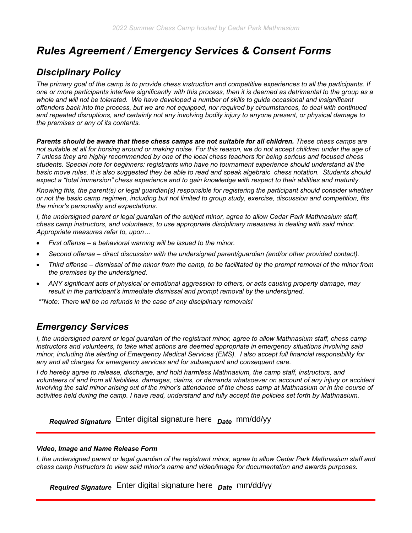# *Rules Agreement / Emergency Services & Consent Forms*

# *Disciplinary Policy*

*The primary goal of the camp is to provide chess instruction and competitive experiences to all the participants. If one or more participants interfere significantly with this process, then it is deemed as detrimental to the group as a whole and will not be tolerated. We have developed a number of skills to guide occasional and insignificant offenders back into the process, but we are not equipped, nor required by circumstances, to deal with continued and repeated disruptions, and certainly not any involving bodily injury to anyone present, or physical damage to the premises or any of its contents.*

*Parents should be aware that these chess camps are not suitable for all children. These chess camps are not suitable at all for horsing around or making noise. For this reason, we do not accept children under the age of 7 unless they are highly recommended by one of the local chess teachers for being serious and focused chess students. Special note for beginners: registrants who have no tournament experience should understand all the basic move rules. It is also suggested they be able to read and speak algebraic chess notation. Students should expect a "total immersion" chess experience and to gain knowledge with respect to their abilities and maturity.*

*Knowing this, the parent(s) or legal guardian(s) responsible for registering the participant should consider whether or not the basic camp regimen, including but not limited to group study, exercise, discussion and competition, fits the minor's personality and expectations.*

*I, the undersigned parent or legal guardian of the subject minor, agree to allow Cedar Park Mathnasium staff, chess camp instructors, and volunteers, to use appropriate disciplinary measures in dealing with said minor. Appropriate measures refer to, upon…*

- *· First offense a behavioral warning will be issued to the minor.*
- *· Second offense direct discussion with the undersigned parent/guardian (and/or other provided contact).*
- *· Third offense dismissal of the minor from the camp, to be facilitated by the prompt removal of the minor from the premises by the undersigned.*
- *· ANY significant acts of physical or emotional aggression to others, or acts causing property damage, may result in the participant's immediate dismissal and prompt removal by the undersigned.*

 *\*\*Note: There will be no refunds in the case of any disciplinary removals!*

# *Emergency Services*

*I, the undersigned parent or legal guardian of the registrant minor, agree to allow Mathnasium staff, chess camp instructors and volunteers, to take what actions are deemed appropriate in emergency situations involving said minor, including the alerting of Emergency Medical Services (EMS). I also accept full financial responsibility for any and all charges for emergency services and for subsequent and consequent care.*

*I do hereby agree to release, discharge, and hold harmless Mathnasium, the camp staff, instructors, and volunteers of and from all liabilities, damages, claims, or demands whatsoever on account of any injury or accident involving the said minor arising out of the minor's attendance of the chess camp at Mathnasium or in the course of activities held during the camp. I have read, understand and fully accept the policies set forth by Mathnasium.*

Required Signature Enter digital signature here <sub>Date</sub> mm/dd/yy

#### *Video, Image and Name Release Form*

*I, the undersigned parent or legal guardian of the registrant minor, agree to allow Cedar Park Mathnasium staff and chess camp instructors to view said minor's name and video/image for documentation and awards purposes.*

Required Signature Enter digital signature here <sub>Date</sub> mm/dd/yy